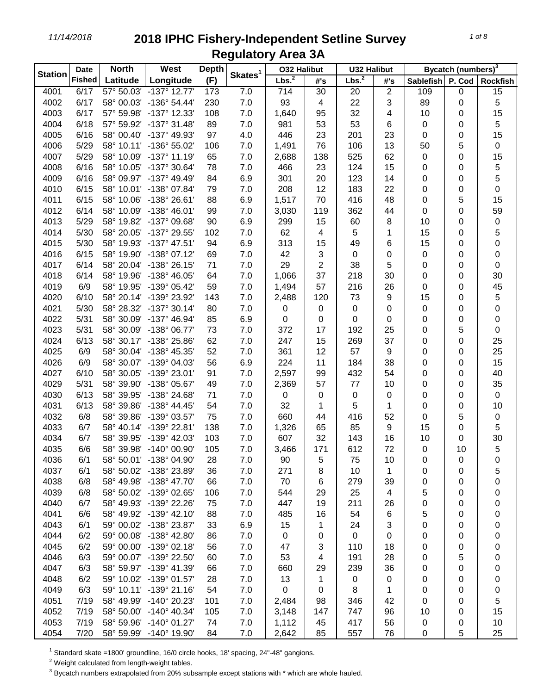| <b>Station</b> | <b>Date</b>   | <b>North</b> | West                    | <b>Depth</b> | Skates <sup>1</sup> | <b>032 Halibut</b> |     | <b>U32 Halibut</b> |                  | Bycatch (numbers) <sup>3</sup> |        |                 |
|----------------|---------------|--------------|-------------------------|--------------|---------------------|--------------------|-----|--------------------|------------------|--------------------------------|--------|-----------------|
|                | <b>Fished</b> | Latitude     | Longitude               | (F)          |                     | Lbs. <sup>2</sup>  | #'s | Lbs. <sup>2</sup>  | #'s              | <b>Sablefish</b>               | P. Cod | <b>Rockfish</b> |
| 4001           | 6/17          |              | 57° 50.03' -137° 12.77' | 173          | 7.0                 | 714                | 30  | 20                 | 2                | 109                            | 0      | 15              |
| 4002           | 6/17          |              | 58° 00.03' -136° 54.44' | 230          | 7.0                 | 93                 | 4   | 22                 | 3                | 89                             | 0      | 5               |
| 4003           | 6/17          | 57° 59.98'   | $-137^{\circ}$ 12.33'   | 108          | 7.0                 | 1,640              | 95  | 32                 | 4                | 10                             | 0      | 15              |
| 4004           | 6/18          |              | 57° 59.92' -137° 31.48' | 89           | 7.0                 | 981                | 53  | 53                 | $\,6$            | 0                              | 0      | 5               |
| 4005           | 6/16          |              | 58° 00.40' -137° 49.93' | 97           | 4.0                 | 446                | 23  | 201                | 23               | 0                              | 0      | 15              |
| 4006           | 5/29          |              | 58° 10.11' -136° 55.02' | 106          | 7.0                 | 1,491              | 76  | 106                | 13               | 50                             | 5      | $\pmb{0}$       |
| 4007           | 5/29          |              | 58° 10.09' -137° 11.19' | 65           | 7.0                 | 2,688              | 138 | 525                | 62               | 0                              | 0      | 15              |
| 4008           | 6/16          | 58° 10.05'   | $-137^{\circ}30.64'$    | 78           | 7.0                 | 466                | 23  | 124                | 15               | 0                              | 0      | 5               |
| 4009           | 6/16          |              | 58° 09.97' -137° 49.49' | 84           | 6.9                 | 301                | 20  | 123                | 14               | 0                              | 0      | 5               |
| 4010           | 6/15          |              | 58° 10.01' -138° 07.84' | 79           | 7.0                 | 208                | 12  | 183                | 22               | 0                              | 0      | 0               |
| 4011           | 6/15          |              | 58° 10.06' -138° 26.61' | 88           | 6.9                 | 1,517              | 70  | 416                | 48               | 0                              | 5      | 15              |
| 4012           | 6/14          |              | 58° 10.09' -138° 46.01' | 99           | 7.0                 | 3,030              | 119 | 362                | 44               | 0                              | 0      | 59              |
| 4013           | 5/29          |              | 58° 19.82' -137° 09.68' | 90           | 6.9                 | 299                | 15  | 60                 | 8                | 10                             | 0      | 0               |
| 4014           | 5/30          |              | 58° 20.05' -137° 29.55' | 102          | 7.0                 | 62                 | 4   | 5                  | 1                | 15                             | 0      | 5               |
| 4015           | 5/30          |              | 58° 19.93' -137° 47.51' | 94           | 6.9                 | 313                | 15  | 49                 | 6                | 15                             | 0      | 0               |
| 4016           | 6/15          |              | 58° 19.90' -138° 07.12' | 69           | 7.0                 | 42                 | 3   | $\pmb{0}$          | 0                | 0                              | 0      | 0               |
| 4017           | 6/14          |              | 58° 20.04' -138° 26.15' | 71           | 7.0                 | 29                 | 2   | 38                 | 5                | 0                              | 0      | 0               |
| 4018           | 6/14          |              | 58° 19.96' -138° 46.05' | 64           | 7.0                 | 1,066              | 37  | 218                | 30               | 0                              | 0      | 30              |
| 4019           | 6/9           |              | 58° 19.95' -139° 05.42' | 59           | 7.0                 | 1,494              | 57  | 216                | 26               | 0                              | 0      | 45              |
| 4020           | 6/10          |              | 58° 20.14' -139° 23.92' | 143          | 7.0                 | 2,488              | 120 | 73                 | 9                | 15                             | 0      | 5               |
| 4021           | 5/30          |              | 58° 28.32' -137° 30.14' | 80           | 7.0                 | 0                  | 0   | $\pmb{0}$          | $\pmb{0}$        | 0                              | 0      | 0               |
| 4022           | 5/31          |              | 58° 30.09' -137° 46.94' | 85           | 6.9                 | 0                  | 0   | 0                  | $\pmb{0}$        | 0                              | 0      | 0               |
| 4023           | 5/31          |              | 58° 30.09' -138° 06.77' | 73           | 7.0                 | 372                | 17  | 192                | 25               | 0                              | 5      | 0               |
| 4024           | 6/13          |              | 58° 30.17' -138° 25.86' | 62           | 7.0                 | 247                | 15  | 269                | 37               | 0                              | 0      | 25              |
| 4025           | 6/9           |              | 58° 30.04' -138° 45.35' | 52           | 7.0                 | 361                | 12  | 57                 | $\boldsymbol{9}$ | 0                              | 0      | 25              |
| 4026           | 6/9           |              | 58° 30.07' -139° 04.03' | 56           | 6.9                 | 224                | 11  | 184                | 38               | 0                              | 0      | 15              |
| 4027           | 6/10          |              | 58° 30.05' -139° 23.01' | 91           | 7.0                 | 2,597              | 99  | 432                | 54               | 0                              | 0      | 40              |
| 4029           | 5/31          |              | 58° 39.90' -138° 05.67' | 49           | 7.0                 | 2,369              | 57  | 77                 | 10               | 0                              | 0      | 35              |
| 4030           | 6/13          |              | 58° 39.95' -138° 24.68' | 71           | 7.0                 | 0                  | 0   | $\mathbf 0$        | $\mathbf 0$      | 0                              | 0      | $\mathbf 0$     |
| 4031           | 6/13          |              | 58° 39.86' -138° 44.45' | 54           | 7.0                 | 32                 | 1   | 5                  | 1                | 0                              | 0      | 10              |
| 4032           | 6/8           |              | 58° 39.86' -139° 03.57' | 75           | 7.0                 | 660                | 44  | 416                | 52               | 0                              | 5      | $\pmb{0}$       |
| 4033           | 6/7           |              | 58° 40.14' -139° 22.81' | 138          | 7.0                 | 1,326              | 65  | 85                 | 9                | 15                             | 0      | 5               |
| 4034           | 6/7           |              | 58° 39.95' -139° 42.03' | 103          | 7.0                 | 607                | 32  | 143                | 16               | 10                             | 0      | 30              |
| 4035           | 6/6           |              | 58° 39.98' -140° 00.90' | 105          | 7.0                 | 3,466              | 171 | 612                | 72               | 0                              | 10     | 5               |
| 4036           | 6/1           |              | 58° 50.01' -138° 04.90' | 28           | 7.0                 | 90                 | 5   | 75                 | 10               | 0                              | 0      | 0               |
| 4037           | 6/1           |              | 58° 50.02' -138° 23.89' | 36           | 7.0                 | 271                | 8   | 10                 | 1                | 0                              | 0      | 5               |
| 4038           | 6/8           |              | 58° 49.98' -138° 47.70' | 66           | 7.0                 | 70                 | 6   | 279                | 39               | 0                              | 0      | 0               |
| 4039           | 6/8           |              | 58° 50.02' -139° 02.65' | 106          | 7.0                 | 544                | 29  | 25                 | 4                | 5                              | 0      | 0               |
| 4040           | 6/7           |              | 58° 49.93' -139° 22.26' | 75           | 7.0                 | 447                | 19  | 211                | 26               | 0                              | 0      | 0               |
| 4041           | 6/6           |              | 58° 49.92' -139° 42.10' | 88           | 7.0                 | 485                | 16  | 54                 | 6                | 5                              | 0      | 0               |
| 4043           | 6/1           |              | 59° 00.02' -138° 23.87' | 33           | 6.9                 | 15                 | 1   | 24                 | 3                | 0                              | 0      | 0               |
| 4044           | 6/2           |              | 59° 00.08' -138° 42.80' | 86           | 7.0                 | $\mathbf 0$        | 0   | $\mathbf 0$        | $\mathbf 0$      | 0                              | 0      | 0               |
| 4045           | 6/2           |              | 59° 00.00' -139° 02.18' | 56           | 7.0                 | 47                 | 3   | 110                | 18               | 0                              | 0      | 0               |
| 4046           | 6/3           |              | 59° 00.07' -139° 22.50' | 60           | 7.0                 | 53                 | 4   | 191                | 28               | 0                              | 5      | 0               |
| 4047           | 6/3           |              | 58° 59.97' -139° 41.39' | 66           | 7.0                 | 660                | 29  | 239                | 36               | 0                              | 0      | 0               |
| 4048           | 6/2           |              | 59° 10.02' -139° 01.57' | 28           | 7.0                 | 13                 | 1   | 0                  | 0                | 0                              | 0      | 0               |
| 4049           | 6/3           |              | 59° 10.11' -139° 21.16' | 54           | 7.0                 | 0                  | 0   | 8                  | 1                | 0                              | 0      | 0               |
| 4051           | 7/19          |              | 58° 49.99' -140° 20.23' | 101          | 7.0                 | 2,484              | 98  | 346                | 42               | 0                              | 0      | 5               |
| 4052           | 7/19          |              | 58° 50.00' -140° 40.34' | 105          | 7.0                 | 3,148              | 147 | 747                | 96               | 10                             | 0      | 15              |
| 4053           | 7/19          |              | 58° 59.96' -140° 01.27' | 74           | 7.0                 | 1,112              | 45  | 417                | 56               | 0                              | 0      | 10              |
| 4054           | 7/20          |              | 58° 59.99' -140° 19.90' | 84           | 7.0                 | 2,642              | 85  | 557                | 76               | 0                              | 5      | 25              |

Standard skate =1800' groundline, 16/0 circle hooks, 18' spacing, 24"-48" gangions.

Weight calculated from length-weight tables.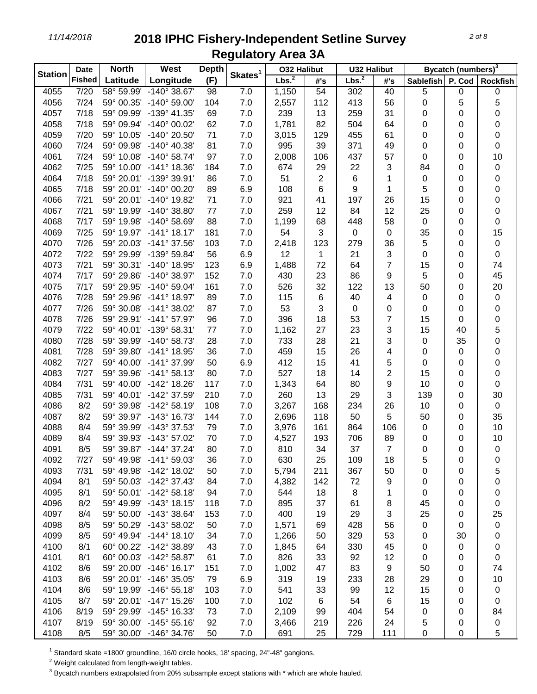| <b>Station</b> | <b>Date</b>   | <b>North</b> | West                         | <b>Depth</b> |                     | <b>032 Halibut</b> |                 | <b>U32 Halibut</b> |                |                  | Bycatch (numbers) <sup>3</sup> |                  |
|----------------|---------------|--------------|------------------------------|--------------|---------------------|--------------------|-----------------|--------------------|----------------|------------------|--------------------------------|------------------|
|                | <b>Fished</b> | Latitude     | Longitude                    | (F)          | Skates <sup>1</sup> | Lbs. <sup>2</sup>  | #'s             | Lbs. <sup>2</sup>  | #'s            | <b>Sablefish</b> | P. Cod                         | <b>Rockfish</b>  |
| 4055           | 7/20          | 58° 59.99'   | $-140^{\circ}$ 38.67         | 98           | 7.0                 | 1,150              | $\overline{54}$ | 302                | 40             | 5                | 0                              | 0                |
| 4056           | 7/24          | 59° 00.35'   | $-140^{\circ} 59.00^{\circ}$ | 104          | 7.0                 | 2,557              | 112             | 413                | 56             | 0                | 5                              | 5                |
| 4057           | 7/18          | 59° 09.99'   | $-139^{\circ}$ 41.35'        | 69           | 7.0                 | 239                | 13              | 259                | 31             | 0                | 0                              | 0                |
| 4058           | 7/18          | 59° 09.94'   | $-140^{\circ}$ 00.02'        | 62           | 7.0                 | 1,781              | 82              | 504                | 64             | 0                | 0                              | 0                |
| 4059           | 7/20          | 59° 10.05'   | $-140^{\circ}$ 20.50'        | 71           | 7.0                 | 3,015              | 129             | 455                | 61             | 0                | 0                              | 0                |
| 4060           | 7/24          | 59° 09.98'   | $-140^{\circ}$ 40.38'        | 81           | 7.0                 | 995                | 39              | 371                | 49             | 0                | 0                              | 0                |
| 4061           | 7/24          | 59° 10.08'   | $-140^{\circ}$ 58.74'        | 97           | 7.0                 | 2,008              | 106             | 437                | 57             | 0                | 0                              | 10               |
| 4062           | 7/25          | 59° 10.00'   | $-141^{\circ}$ 18.36'        | 184          | 7.0                 | 674                | 29              | 22                 | 3              | 84               | 0                              | 0                |
| 4064           | 7/18          | 59° 20.01'   | -139° 39.91'                 | 86           | 7.0                 | 51                 | 2               | 6                  | 1              | 0                | 0                              | 0                |
| 4065           | 7/18          | 59° 20.01'   | $-140^{\circ}$ 00.20         | 89           | 6.9                 | 108                | 6               | 9                  | 1              | 5                | 0                              | 0                |
| 4066           | 7/21          |              | 59° 20.01' -140° 19.82'      | 71           | 7.0                 | 921                | 41              | 197                | 26             | 15               | 0                              | 0                |
| 4067           | 7/21          |              | 59° 19.99' -140° 38.80'      | 77           | 7.0                 | 259                | 12              | 84                 | 12             | 25               | 0                              | 0                |
| 4068           | 7/17          |              | 59° 19.98' -140° 58.69'      | 88           | 7.0                 | 1,199              | 68              | 448                | 58             | 0                | 0                              | 0                |
| 4069           | 7/25          |              | 59° 19.97' -141° 18.17'      | 181          | 7.0                 | 54                 | 3               | $\mathbf 0$        | $\mathbf 0$    | 35               | 0                              | 15               |
| 4070           | 7/26          |              | 59° 20.03' -141° 37.56'      | 103          | 7.0                 | 2,418              | 123             | 279                | 36             | 5                | 0                              | $\pmb{0}$        |
| 4072           | 7/22          |              | 59° 29.99' -139° 59.84'      | 56           | 6.9                 | 12                 | 1               | 21                 | 3              | 0                | 0                              | 0                |
| 4073           | 7/21          |              | 59° 30.31' -140° 18.95'      | 123          | 6.9                 | 1,488              | 72              | 64                 | 7              | 15               | 0                              | 74               |
| 4074           | 7/17          | 59° 29.86'   | $-140^{\circ}$ 38.97'        | 152          | 7.0                 | 430                | 23              | 86                 | 9              | 5                | 0                              | 45               |
| 4075           | 7/17          | 59° 29.95'   | $-140^{\circ}$ 59.04         | 161          | 7.0                 | 526                | 32              | 122                | 13             | 50               | 0                              | 20               |
| 4076           | 7/28          | 59° 29.96'   | $-141^{\circ}$ 18.97'        | 89           | 7.0                 | 115                | 6               | 40                 | 4              | 0                | 0                              | 0                |
| 4077           | 7/26          | 59° 30.08'   | $-141^{\circ}$ 38.02'        | 87           | 7.0                 | 53                 | 3               | 0                  | 0              | 0                | 0                              | 0                |
| 4078           | 7/26          |              | 59° 29.91' -141° 57.97'      | 96           | 7.0                 | 396                | 18              | 53                 | 7              | 15               | 0                              | 0                |
| 4079           | 7/22          |              | 59° 40.01' -139° 58.31'      | 77           | 7.0                 | 1,162              | 27              | 23                 | 3              | 15               | 40                             | 5                |
| 4080           | 7/28          | 59° 39.99'   | $-140^{\circ}$ 58.73         | 28           | 7.0                 | 733                | 28              | 21                 | 3              | 0                | 35                             | 0                |
| 4081           | 7/28          | 59° 39.80'   | -141° 18.95'                 | 36           | 7.0                 | 459                | 15              | 26                 | 4              | 0                | 0                              | 0                |
| 4082           | 7/27          | 59° 40.00'   | -141° 37.99'                 | 50           | 6.9                 | 412                | 15              | 41                 | 5              | 0                | 0                              | 0                |
| 4083           | 7/27          |              | 59° 39.96' -141° 58.13'      | 80           | 7.0                 | 527                | 18              | 14                 | 2              | 15               | 0                              | 0                |
| 4084           | 7/31          | 59° 40.00'   | -142° 18.26'                 | 117          | 7.0                 | 1,343              | 64              | 80                 | 9              | 10               | 0                              | 0                |
| 4085           | 7/31          |              | 59° 40.01' -142° 37.59'      | 210          | 7.0                 | 260                | 13              | 29                 | 3              | 139              | 0                              | 30               |
| 4086           | 8/2           |              | 59° 39.98' -142° 58.19'      | 108          | 7.0                 | 3,267              | 168             | 234                | 26             | 10               | 0                              | $\mathbf 0$      |
| 4087           | 8/2           |              | 59° 39.97' -143° 16.73'      | 144          | 7.0                 | 2,696              | 118             | 50                 | 5              | 50               | 0                              | 35               |
| 4088           | 8/4           | 59° 39.99'   | -143° 37.53'                 | 79           | 7.0                 | 3,976              | 161             | 864                | 106            | 0                | 0                              | 10               |
| 4089           | 8/4           | 59° 39.93'   | $-143^{\circ}$ 57.02'        | 70           | 7.0                 | 4,527              | 193             | 706                | 89             | 0                | 0                              | 10               |
| 4091           | 8/5           |              | 59° 39.87' -144° 37.24'      | 80           | 7.0                 | 810                | 34              | 37                 | $\overline{7}$ | 0                | 0                              | $\boldsymbol{0}$ |
| 4092           | 7/27          |              | 59° 49.98' -141° 59.03'      | 36           | 7.0                 | 630                | 25              | 109                | 18             | 5                | 0                              | 0                |
| 4093           | 7/31          |              | 59° 49.98' -142° 18.02'      | 50           | 7.0                 | 5,794              | 211             | 367                | 50             | 0                | 0                              | 5                |
| 4094           | 8/1           |              | 59° 50.03' -142° 37.43'      | 84           | 7.0                 | 4,382              | 142             | 72                 | 9              | 0                | 0                              | 0                |
| 4095           | 8/1           |              | 59° 50.01' -142° 58.18'      | 94           | 7.0                 | 544                | 18              | 8                  | 1              | 0                | 0                              | 0                |
| 4096           | 8/2           |              | 59° 49.99' -143° 18.15'      | 118          | 7.0                 | 895                | 37              | 61                 | 8              | 45               | 0                              | 0                |
| 4097           | 8/4           |              | 59° 50.00' -143° 38.64'      | 153          | 7.0                 | 400                | 19              | 29                 | 3              | 25               | 0                              | 25               |
| 4098           | 8/5           |              | 59° 50.29' -143° 58.02'      | 50           | 7.0                 | 1,571              | 69              | 428                | 56             | 0                | 0                              | 0                |
| 4099           | 8/5           |              | 59° 49.94' -144° 18.10'      | 34           | 7.0                 | 1,266              | 50              | 329                | 53             | 0                | 30                             | 0                |
| 4100           | 8/1           |              | 60° 00.22' -142° 38.89'      | 43           | 7.0                 | 1,845              | 64              | 330                | 45             | 0                | 0                              | 0                |
| 4101           | 8/1           |              | 60° 00.03' -142° 58.87'      | 61           | 7.0                 | 826                | 33              | 92                 | 12             | 0                | 0                              | 0                |
| 4102           | 8/6           |              | 59° 20.00' -146° 16.17'      | 151          | 7.0                 | 1,002              | 47              | 83                 | 9              | 50               | 0                              | 74               |
| 4103           | 8/6           |              | 59° 20.01' -146° 35.05'      | 79           | 6.9                 | 319                | 19              | 233                | 28             | 29               | 0                              | 10               |
| 4104           | 8/6           |              | 59° 19.99' -146° 55.18'      | 103          | 7.0                 | 541                | 33              | 99                 | 12             | 15               | 0                              | 0                |
| 4105           | 8/7           |              | 59° 20.01' -147° 15.26'      | 100          | 7.0                 | 102                | 6               | 54                 | 6              | 15               | 0                              | 0                |
| 4106           | 8/19          |              | 59° 29.99' -145° 16.33'      | 73           | 7.0                 | 2,109              | 99              | 404                | 54             | 0                | 0                              | 84               |
| 4107           | 8/19          |              | 59° 30.00' -145° 55.16'      | 92           | 7.0                 | 3,466              | 219             | 226                | 24             | 5                | 0                              | 0                |
| 4108           | 8/5           |              | 59° 30.00' -146° 34.76'      | 50           | 7.0                 | 691                | 25              | 729                | 111            | 0                | 0                              | 5                |

Standard skate =1800' groundline, 16/0 circle hooks, 18' spacing, 24"-48" gangions.

Weight calculated from length-weight tables.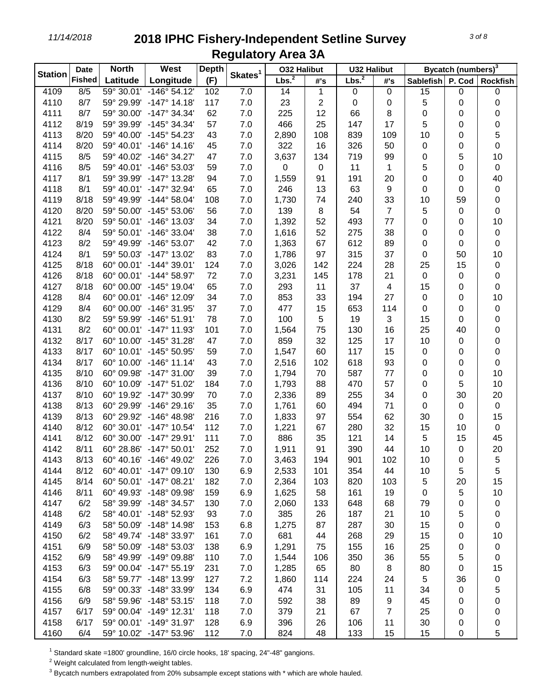| <b>Station</b> | <b>Date</b>   | <b>North</b> | West                    | <b>Depth</b> |                     |                   | <b>032 Halibut</b> |                   | <b>U32 Halibut</b> |                  | Bycatch (numbers) <sup>3</sup> |                 |  |
|----------------|---------------|--------------|-------------------------|--------------|---------------------|-------------------|--------------------|-------------------|--------------------|------------------|--------------------------------|-----------------|--|
|                | <b>Fished</b> | Latitude     | Longitude               | (F)          | Skates <sup>1</sup> | Lbs. <sup>2</sup> | #'s                | Lbs. <sup>2</sup> | #'s                | <b>Sablefish</b> | P. Cod                         | <b>Rockfish</b> |  |
| 4109           | 8/5           |              | 59° 30.01' -146° 54.12' | 102          | 7.0                 | 14                | 1                  | $\mathbf 0$       | $\pmb{0}$          | 15               | 0                              | $\pmb{0}$       |  |
| 4110           | 8/7           |              | 59° 29.99' -147° 14.18' | 117          | 7.0                 | 23                | $\overline{c}$     | 0                 | $\pmb{0}$          | 5                | 0                              | 0               |  |
| 4111           | 8/7           |              | 59° 30.00' -147° 34.34' | 62           | 7.0                 | 225               | 12                 | 66                | 8                  | 0                | 0                              | 0               |  |
| 4112           | 8/19          |              | 59° 39.99' -145° 34.34' | 57           | 7.0                 | 466               | 25                 | 147               | 17                 | 5                | 0                              | 0               |  |
| 4113           | 8/20          |              | 59° 40.00' -145° 54.23' | 43           | 7.0                 | 2,890             | 108                | 839               | 109                | 10               | 0                              | 5               |  |
| 4114           | 8/20          |              | 59° 40.01' -146° 14.16' | 45           | 7.0                 | 322               | 16                 | 326               | 50                 | 0                | 0                              | 0               |  |
| 4115           | 8/5           |              | 59° 40.02' -146° 34.27' | 47           | 7.0                 | 3,637             | 134                | 719               | 99                 | 0                | 5                              | 10              |  |
| 4116           | 8/5           |              | 59° 40.01' -146° 53.03' | 59           | 7.0                 | 0                 | 0                  | 11                | 1                  | 5                | 0                              | $\pmb{0}$       |  |
| 4117           | 8/1           |              | 59° 39.99' -147° 13.28' | 94           | 7.0                 | 1,559             | 91                 | 191               | 20                 | 0                | 0                              | 40              |  |
| 4118           | 8/1           |              | 59° 40.01' -147° 32.94' | 65           | 7.0                 | 246               | 13                 | 63                | $\boldsymbol{9}$   | 0                | 0                              | 0               |  |
| 4119           | 8/18          |              | 59° 49.99' -144° 58.04' | 108          | 7.0                 | 1,730             | 74                 | 240               | 33                 | 10               | 59                             | 0               |  |
| 4120           | 8/20          |              | 59° 50.00' -145° 53.06' | 56           | 7.0                 | 139               | 8                  | 54                | $\overline{7}$     | 5                | 0                              | 0               |  |
| 4121           | 8/20          |              | 59° 50.01' -146° 13.03' | 34           | 7.0                 | 1,392             | 52                 | 493               | 77                 | 0                | 0                              | 10              |  |
| 4122           | 8/4           |              | 59° 50.01' -146° 33.04' | 38           | 7.0                 | 1,616             | 52                 | 275               | 38                 | 0                | 0                              | 0               |  |
| 4123           | 8/2           |              | 59° 49.99' -146° 53.07' | 42           | 7.0                 | 1,363             | 67                 | 612               | 89                 | 0                | 0                              | 0               |  |
| 4124           | 8/1           |              | 59° 50.03' -147° 13.02' | 83           | 7.0                 | 1,786             | 97                 | 315               | 37                 | 0                | 50                             | 10              |  |
| 4125           | 8/18          |              | 60° 00.01' -144° 39.01' | 124          | 7.0                 | 3,026             | 142                | 224               | 28                 | 25               | 15                             | 0               |  |
| 4126           | 8/18          |              | 60° 00.01' -144° 58.97' | 72           | 7.0                 | 3,231             | 145                | 178               | 21                 | 0                | 0                              | 0               |  |
| 4127           | 8/18          |              | 60° 00.00' -145° 19.04' | 65           | 7.0                 | 293               | 11                 | 37                | $\overline{4}$     | 15               | 0                              | 0               |  |
| 4128           | 8/4           |              | 60° 00.01' -146° 12.09' | 34           | 7.0                 | 853               | 33                 | 194               | 27                 | 0                | 0                              | 10              |  |
| 4129           | 8/4           |              | 60° 00.00' -146° 31.95' | 37           | 7.0                 | 477               | 15                 | 653               | 114                | 0                | 0                              | 0               |  |
| 4130           | 8/2           |              | 59° 59.99' -146° 51.91' | 78           | 7.0                 | 100               | 5                  | 19                | 3                  | 15               | 0                              | 0               |  |
| 4131           | 8/2           |              | 60° 00.01' -147° 11.93' | 101          | 7.0                 | 1,564             | 75                 | 130               | 16                 | 25               | 40                             | 0               |  |
| 4132           | 8/17          |              | 60° 10.00' -145° 31.28' | 47           | 7.0                 | 859               | 32                 | 125               | 17                 | 10               | 0                              | 0               |  |
| 4133           | 8/17          |              | 60° 10.01' -145° 50.95' | 59           | 7.0                 | 1,547             | 60                 | 117               | 15                 | 0                | 0                              | 0               |  |
| 4134           | 8/17          |              | 60° 10.00' -146° 11.14' | 43           | 7.0                 | 2,516             | 102                | 618               | 93                 | 0                | 0                              | $\pmb{0}$       |  |
| 4135           | 8/10          |              | 60° 09.98' -147° 31.00' | 39           | 7.0                 | 1,794             | 70                 | 587               | 77                 | 0                | 0                              | 10              |  |
| 4136           | 8/10          |              | 60° 10.09' -147° 51.02' | 184          | 7.0                 | 1,793             | 88                 | 470               | 57                 | 0                | 5                              | 10              |  |
| 4137           | 8/10          |              | 60° 19.92' -147° 30.99' | 70           | 7.0                 | 2,336             | 89                 | 255               | 34                 | 0                | 30                             | 20              |  |
| 4138           | 8/13          |              | 60° 29.99' -146° 29.16' | 35           | 7.0                 | 1,761             | 60                 | 494               | 71                 | 0                | 0                              | $\pmb{0}$       |  |
| 4139           | 8/13          |              | 60° 29.92' -146° 48.98' | 216          | 7.0                 | 1,833             | 97                 | 554               | 62                 | 30               | 0                              | 15              |  |
| 4140           | 8/12          |              | 60° 30.01' -147° 10.54' | 112          | 7.0                 | 1,221             | 67                 | 280               | 32                 | 15               | 10                             | $\mathbf 0$     |  |
| 4141           | 8/12          |              | 60° 30.00' -147° 29.91' | 111          | 7.0                 | 886               | 35                 | 121               | 14                 | 5                | 15                             | 45              |  |
| 4142           | 8/11          |              | 60° 28.86' -147° 50.01' | 252          | 7.0                 | 1,911             | 91                 | 390               | 44                 | 10               | 0                              | 20              |  |
| 4143           | 8/13          |              | 60° 40.16' -146° 49.02' | 226          | 7.0                 | 3,463             | 194                | 901               | 102                | 10               | 0                              | 5               |  |
| 4144           | 8/12          |              | 60° 40.01' -147° 09.10' | 130          | 6.9                 | 2,533             | 101                | 354               | 44                 | 10               | 5                              | 5               |  |
| 4145           | 8/14          |              | 60° 50.01' -147° 08.21' | 182          | 7.0                 | 2,364             | 103                | 820               | 103                | 5                | 20                             | 15              |  |
| 4146           | 8/11          |              | 60° 49.93' -148° 09.98' | 159          | 6.9                 | 1,625             | 58                 | 161               | 19                 | 0                | 5                              | 10              |  |
| 4147           | 6/2           |              | 58° 39.99' -148° 34.57' | 130          | 7.0                 | 2,060             | 133                | 648               | 68                 | 79               | 0                              | 0               |  |
| 4148           | 6/2           |              | 58° 40.01' -148° 52.93' | 93           | 7.0                 | 385               | 26                 | 187               | 21                 | 10               | 5                              | 0               |  |
| 4149           | 6/3           |              | 58° 50.09' -148° 14.98' | 153          | 6.8                 | 1,275             | 87                 | 287               | 30                 | 15               | 0                              | 0               |  |
| 4150           | 6/2           |              | 58° 49.74' -148° 33.97' | 161          | 7.0                 | 681               | 44                 | 268               | 29                 | 15               | 0                              | 10              |  |
| 4151           | 6/9           |              | 58° 50.09' -148° 53.03' | 138          | 6.9                 | 1,291             | 75                 | 155               | 16                 | 25               | 0                              | 0               |  |
| 4152           | 6/9           |              | 58° 49.99' -149° 09.88' | 110          | 7.0                 | 1,544             | 106                | 350               | 36                 | 55               | 5                              | 0               |  |
| 4153           | 6/3           |              | 59° 00.04' -147° 55.19' | 231          | 7.0                 | 1,285             | 65                 | 80                | 8                  | 80               | 0                              | 15              |  |
| 4154           | 6/3           |              | 58° 59.77' -148° 13.99' | 127          | 7.2                 | 1,860             | 114                | 224               | 24                 | 5                | 36                             |                 |  |
| 4155           | 6/8           |              | 59° 00.33' -148° 33.99' | 134          | 6.9                 | 474               | 31                 | 105               | 11                 | 34               | 0                              | 0<br>5          |  |
| 4156           | 6/9           |              | 58° 59.96' -148° 53.15' | 118          | 7.0                 | 592               | 38                 | 89                | 9                  | 45               |                                |                 |  |
| 4157           | 6/17          |              | 59° 00.04' -149° 12.31' | 118          | 7.0                 | 379               | 21                 | 67                | 7                  | 25               | 0                              | 0               |  |
| 4158           | 6/17          |              | 59° 00.01' -149° 31.97' | 128          | 6.9                 | 396               | 26                 | 106               | 11                 | 30               | 0                              | 0               |  |
| 4160           | 6/4           |              | 59° 10.02' -147° 53.96' | 112          | 7.0                 | 824               | 48                 | 133               | 15                 | 15               | 0<br>0                         | 0<br>5          |  |
|                |               |              |                         |              |                     |                   |                    |                   |                    |                  |                                |                 |  |

Standard skate =1800' groundline, 16/0 circle hooks, 18' spacing, 24"-48" gangions.

Weight calculated from length-weight tables.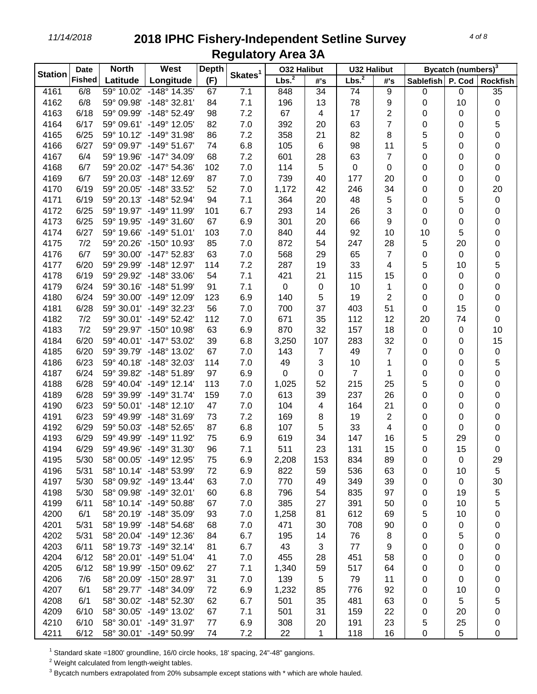| <b>Station</b> | <b>Date</b>   | <b>North</b> | West                    | <b>Depth</b> | Skates <sup>1</sup> | <b>032 Halibut</b> |                | <b>U32 Halibut</b> |                | Bycatch (numbers) <sup>3</sup> |        |                 |  |
|----------------|---------------|--------------|-------------------------|--------------|---------------------|--------------------|----------------|--------------------|----------------|--------------------------------|--------|-----------------|--|
|                | <b>Fished</b> | Latitude     | Longitude               | (F)          |                     | Lbs. <sup>2</sup>  | #'s            | Lbs. <sup>2</sup>  | #'s            | Sablefish                      | P. Cod | <b>Rockfish</b> |  |
| 4161           | 6/8           |              | 59° 10.02' -148° 14.35' | 67           | 7.1                 | 848                | 34             | 74                 | 9              | 0                              | 0      | 35              |  |
| 4162           | 6/8           | 59° 09.98'   | $-148^{\circ}$ 32.81'   | 84           | 7.1                 | 196                | 13             | 78                 | 9              | 0                              | 10     | 0               |  |
| 4163           | 6/18          |              | 59° 09.99' -148° 52.49' | 98           | 7.2                 | 67                 | 4              | 17                 | 2              | 0                              | 0      | 0               |  |
| 4164           | 6/17          |              | 59° 09.61' -149° 12.05' | 82           | 7.0                 | 392                | 20             | 63                 | $\overline{7}$ | 0                              | 0      | 5               |  |
| 4165           | 6/25          |              | 59° 10.12' -149° 31.98' | 86           | 7.2                 | 358                | 21             | 82                 | 8              | 5                              | 0      | 0               |  |
| 4166           | 6/27          |              | 59° 09.97' -149° 51.67' | 74           | 6.8                 | 105                | 6              | 98                 | 11             | 5                              | 0      | 0               |  |
| 4167           | 6/4           | 59° 19.96'   | -147° 34.09'            | 68           | 7.2                 | 601                | 28             | 63                 | $\overline{7}$ | 0                              | 0      | 0               |  |
| 4168           | 6/7           |              | 59° 20.02' -147° 54.36' | 102          | 7.0                 | 114                | 5              | $\mathsf 0$        | $\mathbf 0$    | 0                              | 0      | 0               |  |
| 4169           | 6/7           |              | 59° 20.03' -148° 12.69' | 87           | 7.0                 | 739                | 40             | 177                | 20             | 0                              | 0      | 0               |  |
| 4170           | 6/19          |              | 59° 20.05' -148° 33.52' | 52           | 7.0                 | 1,172              | 42             | 246                | 34             | 0                              | 0      | 20              |  |
| 4171           | 6/19          |              | 59° 20.13' -148° 52.94' | 94           | 7.1                 | 364                | 20             | 48                 | 5              | 0                              | 5      | 0               |  |
| 4172           | 6/25          |              | 59° 19.97' -149° 11.99' | 101          | 6.7                 | 293                | 14             | 26                 | 3              | 0                              | 0      | 0               |  |
| 4173           | 6/25          |              | 59° 19.95' -149° 31.60' | 67           | 6.9                 | 301                | 20             | 66                 | 9              | 0                              | 0      | 0               |  |
| 4174           | 6/27          |              | 59° 19.66' -149° 51.01' | 103          | 7.0                 | 840                | 44             | 92                 | 10             | 10                             | 5      | 0               |  |
| 4175           | 7/2           |              | 59° 20.26' -150° 10.93' | 85           | 7.0                 | 872                | 54             | 247                | 28             | 5                              | 20     | 0               |  |
| 4176           | 6/7           |              | 59° 30.00' -147° 52.83' | 63           | 7.0                 | 568                | 29             | 65                 | $\overline{7}$ | 0                              | 0      | 0               |  |
| 4177           | 6/20          |              | 59° 29.99' -148° 12.97' | 114          | 7.2                 | 287                | 19             | 33                 | 4              | 5                              | 10     | 5               |  |
| 4178           | 6/19          |              | 59° 29.92' -148° 33.06' | 54           | 7.1                 | 421                | 21             | 115                | 15             | 0                              | 0      | 0               |  |
| 4179           | 6/24          |              | 59° 30.16' -148° 51.99' | 91           | 7.1                 | $\mathbf 0$        | 0              | 10                 | 1              | 0                              | 0      | 0               |  |
| 4180           | 6/24          |              | 59° 30.00' -149° 12.09' | 123          | 6.9                 | 140                | 5              | 19                 | $\overline{c}$ | 0                              | 0      | 0               |  |
| 4181           | 6/28          |              | 59° 30.01' -149° 32.23' | 56           | 7.0                 | 700                | 37             | 403                | 51             | 0                              | 15     | 0               |  |
| 4182           | 7/2           |              | 59° 30.01' -149° 52.42' | 112          | 7.0                 | 671                | 35             | 112                | 12             | 20                             | 74     | 0               |  |
| 4183           | 7/2           |              | 59° 29.97' -150° 10.98' | 63           | 6.9                 | 870                | 32             | 157                | 18             | 0                              | 0      | 10              |  |
| 4184           | 6/20          |              | 59° 40.01' -147° 53.02' | 39           | 6.8                 | 3,250              | 107            | 283                | 32             | 0                              | 0      | 15              |  |
| 4185           | 6/20          |              | 59° 39.79' -148° 13.02' | 67           | 7.0                 | 143                | $\overline{7}$ | 49                 | $\overline{7}$ | 0                              | 0      | $\pmb{0}$       |  |
| 4186           | 6/23          |              | 59° 40.18' -148° 32.03' | 114          | 7.0                 | 49                 | 3              | 10                 | 1              | 0                              | 0      | 5               |  |
| 4187           | 6/24          |              | 59° 39.82' -148° 51.89' | 97           | 6.9                 | 0                  | 0              | $\overline{7}$     | 1              | 0                              | 0      | 0               |  |
| 4188           | 6/28          |              | 59° 40.04' -149° 12.14' | 113          | 7.0                 | 1,025              | 52             | 215                | 25             | 5                              | 0      | 0               |  |
| 4189           | 6/28          |              | 59° 39.99' -149° 31.74' | 159          | 7.0                 | 613                | 39             | 237                | 26             | 0                              | 0      | 0               |  |
| 4190           | 6/23          |              | 59° 50.01' -148° 12.10' | 47           | 7.0                 | 104                | 4              | 164                | 21             | 0                              | 0      | 0               |  |
| 4191           | 6/23          |              | 59° 49.99' -148° 31.69' | 73           | 7.2                 | 169                | 8              | 19                 | 2              | 0                              | 0      | 0               |  |
| 4192           | 6/29          |              | 59° 50.03' -148° 52.65' | 87           | 6.8                 | 107                | 5              | 33                 | 4              | 0                              | 0      | 0               |  |
| 4193           | 6/29          |              | 59° 49.99' -149° 11.92' | 75           | 6.9                 | 619                | 34             | 147                | 16             | 5                              | 29     | 0               |  |
| 4194           | 6/29          |              | 59° 49.96' -149° 31.30' | 96           | 7.1                 | 511                | 23             | 131                | 15             | 0                              | 15     | 0               |  |
| 4195           | 5/30          |              | 58° 00.05' -149° 12.95' | 75           | 6.9                 | 2,208              | 153            | 834                | 89             | 0                              | 0      | 29              |  |
| 4196           | 5/31          |              | 58° 10.14' -148° 53.99' | 72           | 6.9                 | 822                | 59             | 536                | 63             | 0                              | 10     | 5               |  |
| 4197           | 5/30          |              | 58° 09.92' -149° 13.44' | 63           | 7.0                 | 770                | 49             | 349                | 39             | 0                              | 0      | 30              |  |
| 4198           | 5/30          |              | 58° 09.98' -149° 32.01' | 60           | 6.8                 | 796                | 54             | 835                | 97             | 0                              | 19     | 5               |  |
| 4199           | 6/11          |              | 58° 10.14' -149° 50.88' | 67           | 7.0                 | 385                | 27             | 391                | 50             | 0                              | 10     | 5               |  |
| 4200           | 6/1           |              | 58° 20.19' -148° 35.09' | 93           | 7.0                 | 1,258              | 81             | 612                | 69             | 5                              | 10     | 0               |  |
| 4201           | 5/31          |              | 58° 19.99' -148° 54.68' | 68           | 7.0                 | 471                | 30             | 708                | 90             | 0                              | 0      | 0               |  |
| 4202           | 5/31          |              | 58° 20.04' -149° 12.36' | 84           | 6.7                 | 195                | 14             | 76                 | 8              | 0                              | 5      | 0               |  |
| 4203           | 6/11          |              | 58° 19.73' -149° 32.14' | 81           | 6.7                 | 43                 | 3              | 77                 | 9              | 0                              | 0      | 0               |  |
| 4204           | 6/12          |              | 58° 20.01' -149° 51.04' | 41           | 7.0                 | 455                | 28             | 451                | 58             | 0                              | 0      | 0               |  |
| 4205           | 6/12          |              | 58° 19.99' -150° 09.62' | 27           | 7.1                 | 1,340              | 59             | 517                | 64             | 0                              | 0      | 0               |  |
| 4206           | 7/6           |              | 58° 20.09' -150° 28.97' | 31           | 7.0                 | 139                | 5              | 79                 | 11             | 0                              | 0      | 0               |  |
| 4207           | 6/1           |              | 58° 29.77' -148° 34.09' | 72           | 6.9                 | 1,232              | 85             | 776                | 92             | 0                              | 10     | 0               |  |
| 4208           | 6/1           |              | 58° 30.02' -148° 52.30' | 62           | 6.7                 | 501                | 35             | 481                | 63             | 0                              | 5      | 5               |  |
| 4209           | 6/10          |              | 58° 30.05' -149° 13.02' | 67           | 7.1                 | 501                | 31             | 159                | 22             | 0                              | 20     | 0               |  |
| 4210           | 6/10          |              | 58° 30.01' -149° 31.97' | 77           | 6.9                 | 308                | 20             | 191                | 23             | 5                              | 25     | 0               |  |
| 4211           | 6/12          |              | 58° 30.01' -149° 50.99' | 74           | 7.2                 | 22                 | 1              | 118                | 16             | 0                              | 5      | 0               |  |

Standard skate =1800' groundline, 16/0 circle hooks, 18' spacing, 24"-48" gangions.

Weight calculated from length-weight tables.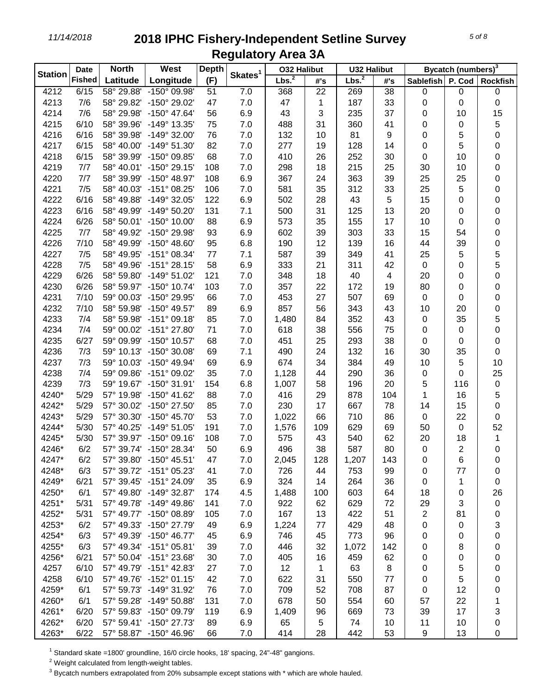| <b>Station</b> | <b>Date</b>   | <b>North</b> | West                    | <b>Depth</b> |                     | <b>032 Halibut</b> |     | <b>U32 Halibut</b> |                         |           | Bycatch (numbers) <sup>3</sup> |                  |
|----------------|---------------|--------------|-------------------------|--------------|---------------------|--------------------|-----|--------------------|-------------------------|-----------|--------------------------------|------------------|
|                | <b>Fished</b> | Latitude     | Longitude               | (F)          | Skates <sup>1</sup> | Lbs. <sup>2</sup>  | #'s | Lbs. <sup>2</sup>  | #'s                     | Sablefish | P. Cod                         | <b>Rockfish</b>  |
| 4212           | 6/15          |              | 58° 29.88' -150° 09.98' | 51           | 7.0                 | 368                | 22  | 269                | 38                      | 0         | 0                              | 0                |
| 4213           | 7/6           |              | 58° 29.82' -150° 29.02' | 47           | 7.0                 | 47                 | 1   | 187                | 33                      | 0         | 0                              | 0                |
| 4214           | 7/6           | 58° 29.98'   | $-150^{\circ}$ 47.64'   | 56           | 6.9                 | 43                 | 3   | 235                | 37                      | 0         | 10                             | 15               |
| 4215           | 6/10          | 58° 39.96'   | $-149^{\circ}$ 13.35'   | 75           | 7.0                 | 488                | 31  | 360                | 41                      | 0         | 0                              | 5                |
| 4216           | 6/16          | 58° 39.98'   | $-149^{\circ}$ 32.00    | 76           | 7.0                 | 132                | 10  | 81                 | 9                       | 0         | 5                              | 0                |
| 4217           | 6/15          | 58° 40.00'   | $-149^{\circ}$ 51.30    | 82           | 7.0                 | 277                | 19  | 128                | 14                      | 0         | 5                              | 0                |
| 4218           | 6/15          | 58° 39.99'   | $-150^{\circ}$ 09.85'   | 68           | 7.0                 | 410                | 26  | 252                | 30                      | 0         | 10                             | 0                |
| 4219           | 7/7           |              | 58° 40.01' -150° 29.15' | 108          | 7.0                 | 298                | 18  | 215                | 25                      | 30        | 10                             | 0                |
| 4220           | 7/7           |              | 58° 39.99' -150° 48.97' | 108          | 6.9                 | 367                | 24  | 363                | 39                      | 25        | 25                             | 0                |
| 4221           | 7/5           |              | 58° 40.03' -151° 08.25' | 106          | 7.0                 | 581                | 35  | 312                | 33                      | 25        | 5                              | 0                |
| 4222           | 6/16          |              | 58° 49.88' -149° 32.05' | 122          | 6.9                 | 502                | 28  | 43                 | 5                       | 15        | 0                              | 0                |
| 4223           | 6/16          |              | 58° 49.99' -149° 50.20' | 131          | 7.1                 | 500                | 31  | 125                | 13                      | 20        | 0                              | 0                |
| 4224           | 6/26          |              | 58° 50.01' -150° 10.00' | 88           | 6.9                 | 573                | 35  | 155                | 17                      | 10        | 0                              | 0                |
| 4225           | 7/7           |              | 58° 49.92' -150° 29.98' | 93           | 6.9                 | 602                | 39  | 303                | 33                      | 15        | 54                             | 0                |
| 4226           | 7/10          |              | 58° 49.99' -150° 48.60' | 95           | 6.8                 | 190                | 12  | 139                | 16                      | 44        | 39                             | 0                |
| 4227           | 7/5           |              | 58° 49.95' -151° 08.34' | 77           | 7.1                 | 587                | 39  | 349                | 41                      | 25        | 5                              | 5                |
| 4228           | 7/5           |              | 58° 49.96' -151° 28.15' | 58           | 6.9                 | 333                | 21  | 311                | 42                      | 0         | 0                              | 5                |
| 4229           | 6/26          | 58° 59.80'   | $-149^{\circ} 51.02'$   | 121          | 7.0                 | 348                | 18  | 40                 | $\overline{\mathbf{4}}$ | 20        | 0                              | 0                |
| 4230           | 6/26          |              | 58° 59.97' -150° 10.74' | 103          | 7.0                 | 357                | 22  | 172                | 19                      | 80        | 0                              | 0                |
| 4231           | 7/10          | 59° 00.03'   | -150° 29.95'            | 66           | 7.0                 | 453                | 27  | 507                | 69                      | 0         | 0                              | 0                |
| 4232           | 7/10          | 58° 59.98'   | $-150^{\circ}$ 49.57'   | 89           | 6.9                 | 857                | 56  | 343                | 43                      | 10        | 20                             | 0                |
| 4233           | 7/4           | 58° 59.98'   | $-151^{\circ}$ 09.18'   | 85           | 7.0                 | 1,480              | 84  | 352                | 43                      | 0         | 35                             | 5                |
| 4234           | 7/4           |              | 59° 00.02' -151° 27.80' | 71           | 7.0                 | 618                | 38  | 556                | 75                      | 0         | 0                              | 0                |
| 4235           | 6/27          |              | 59° 09.99' -150° 10.57' | 68           | 7.0                 | 451                | 25  | 293                | 38                      | 0         | 0                              | 0                |
| 4236           | 7/3           |              | 59° 10.13' -150° 30.08' | 69           | 7.1                 | 490                | 24  | 132                | 16                      | 30        | 35                             | 0                |
| 4237           | 7/3           |              | 59° 10.03' -150° 49.94' | 69           | 6.9                 | 674                | 34  | 384                | 49                      | 10        | 5                              | 10               |
| 4238           | 7/4           |              | 59° 09.86' -151° 09.02' | 35           | 7.0                 | 1,128              | 44  | 290                | 36                      | 0         | 0                              | 25               |
| 4239           | 7/3           |              | 59° 19.67' -150° 31.91' | 154          | 6.8                 | 1,007              | 58  | 196                | 20                      | 5         | 116                            | $\pmb{0}$        |
| 4240*          | 5/29          |              | 57° 19.98' -150° 41.62' | 88           | 7.0                 | 416                | 29  | 878                | 104                     | 1         | 16                             | 5                |
| 4242*          | 5/29          |              | 57° 30.02' -150° 27.50' | 85           | 7.0                 | 230                | 17  | 667                | 78                      | 14        | 15                             | 0                |
| 4243*          | 5/29          |              | 57° 30.30' -150° 45.70' | 53           | 7.0                 | 1,022              | 66  | 710                | 86                      | 0         | 22                             | 0                |
| 4244*          | 5/30          |              | 57° 40.25' -149° 51.05' | 191          | 7.0                 | 1,576              | 109 | 629                | 69                      | 50        | 0                              | 52               |
| 4245*          | 5/30          |              | 57° 39.97' -150° 09.16' | 108          | 7.0                 | 575                | 43  | 540                | 62                      | 20        | 18                             | $\mathbf 1$      |
| 4246*          | 6/2           |              | 57° 39.74' -150° 28.34' | 50           | 6.9                 | 496                | 38  | 587                | 80                      | $\pmb{0}$ | $\overline{2}$                 | $\boldsymbol{0}$ |
| 4247*          | 6/2           |              | 57° 39.80' -150° 45.51' | 47           | 7.0                 | 2,045              | 128 | 1,207              | 143                     | 0         | 6                              | 0                |
| 4248*          | 6/3           |              | 57° 39.72' -151° 05.23' | 41           | 7.0                 | 726                | 44  | 753                | 99                      | 0         | 77                             | 0                |
| 4249*          | 6/21          |              | 57° 39.45' -151° 24.09' | 35           | 6.9                 | 324                | 14  | 264                | 36                      | 0         | 1                              | 0                |
| 4250*          | 6/1           |              | 57° 49.80' -149° 32.87' | 174          | 4.5                 | 1,488              | 100 | 603                | 64                      | 18        | 0                              | 26               |
| 4251*          | 5/31          |              | 57° 49.78' -149° 49.86' | 141          | 7.0                 | 922                | 62  | 629                | 72                      | 29        | 3                              | 0                |
| 4252*          | 5/31          |              | 57° 49.77' -150° 08.89' | 105          | 7.0                 | 167                | 13  | 422                | 51                      | 2         | 81                             | 0                |
| 4253*          | 6/2           |              | 57° 49.33' -150° 27.79' | 49           | 6.9                 | 1,224              | 77  | 429                | 48                      | 0         | 0                              | 3                |
| 4254*          | 6/3           |              | 57° 49.39' -150° 46.77' | 45           | 6.9                 | 746                | 45  | 773                | 96                      | 0         | 0                              | 0                |
| 4255*          | 6/3           |              | 57° 49.34' -151° 05.81' | 39           | 7.0                 | 446                | 32  | 1,072              | 142                     | 0         | 8                              | 0                |
| 4256*          | 6/21          |              | 57° 50.04' -151° 23.68' | 30           | 7.0                 | 405                | 16  | 459                | 62                      | 0         | 0                              | 0                |
| 4257           | 6/10          |              | 57° 49.79' -151° 42.83' | 27           | 7.0                 | 12                 | 1   | 63                 | 8                       | 0         | 5                              | 0                |
| 4258           | 6/10          |              | 57° 49.76' -152° 01.15' | 42           | 7.0                 | 622                | 31  | 550                | 77                      | 0         | 5                              | 0                |
| 4259*          | 6/1           |              | 57° 59.73' -149° 31.92' | 76           | 7.0                 | 709                | 52  | 708                | 87                      | 0         | 12                             | 0                |
| 4260*          | 6/1           |              | 57° 59.28' -149° 50.88' | 131          | 7.0                 | 678                | 50  | 554                | 60                      | 57        | 22                             | 1                |
| 4261*          | 6/20          |              | 57° 59.83' -150° 09.79' | 119          | 6.9                 | 1,409              | 96  | 669                | 73                      | 39        | 17                             | 3                |
| 4262*          | 6/20          |              | 57° 59.41' -150° 27.73' | 89           | 6.9                 | 65                 | 5   | 74                 | 10                      | 11        | 10                             | 0                |
| 4263*          | 6/22          |              | 57° 58.87' -150° 46.96' | 66           | 7.0                 | 414                | 28  | 442                | 53                      | 9         | 13                             | 0                |

 $1$  Standard skate =1800' groundline, 16/0 circle hooks, 18' spacing, 24"-48" gangions.

 $2$  Weight calculated from length-weight tables.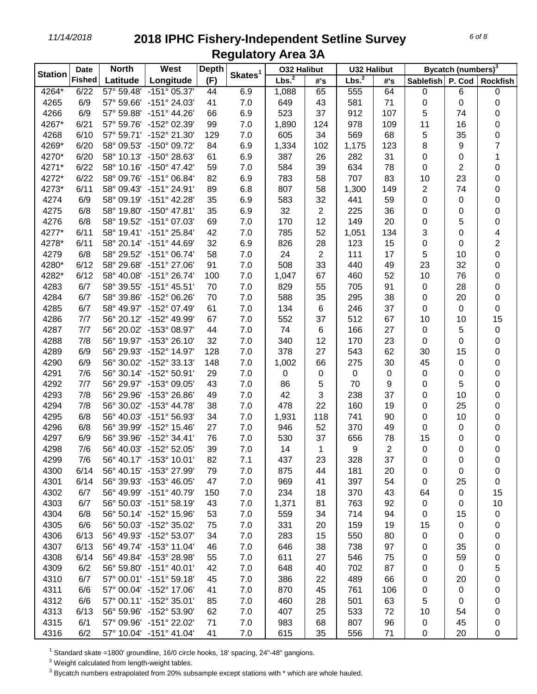| <b>Station</b> | <b>Date</b>   | <b>North</b> | West                    | <b>Depth</b> | Skates <sup>1</sup> | <b>032 Halibut</b> |                | <b>U32 Halibut</b> |             | Bycatch (numbers) <sup>3</sup> |           |                         |  |
|----------------|---------------|--------------|-------------------------|--------------|---------------------|--------------------|----------------|--------------------|-------------|--------------------------------|-----------|-------------------------|--|
|                | <b>Fished</b> | Latitude     | Longitude               | (F)          |                     | Lbs. <sup>2</sup>  | #'s            | Lbs. <sup>2</sup>  | #'s         | <b>Sablefish</b>               | P. Cod    | <b>Rockfish</b>         |  |
| 4264*          | 6/22          | 57° 59.48'   | $-151^{\circ}$ 05.37'   | 44           | 6.9                 | 1,088              | 65             | 555                | 64          | 0                              | 6         | 0                       |  |
| 4265           | 6/9           | 57° 59.66'   | $-151^{\circ} 24.03'$   | 41           | 7.0                 | 649                | 43             | 581                | 71          | 0                              | 0         | 0                       |  |
| 4266           | 6/9           | 57° 59.88'   | $-151^{\circ}$ 44.26'   | 66           | 6.9                 | 523                | 37             | 912                | 107         | 5                              | 74        | 0                       |  |
| 4267*          | 6/21          | 57° 59.76'   | -152° 02.39'            | 99           | 7.0                 | 1,890              | 124            | 978                | 109         | 11                             | 16        | 0                       |  |
| 4268           | 6/10          | 57° 59.71'   | -152° 21.30'            | 129          | 7.0                 | 605                | 34             | 569                | 68          | 5                              | 35        | 0                       |  |
| 4269*          | 6/20          | 58° 09.53'   | $-150^{\circ}$ 09.72    | 84           | 6.9                 | 1,334              | 102            | 1,175              | 123         | 8                              | 9         | $\overline{7}$          |  |
| 4270*          | 6/20          | 58° 10.13'   | $-150^{\circ}$ 28.63    | 61           | 6.9                 | 387                | 26             | 282                | 31          | 0                              | 0         | 1                       |  |
| 4271*          | 6/22          | 58° 10.16'   | $-150^{\circ}$ 47.42    | 59           | 7.0                 | 584                | 39             | 634                | 78          | 0                              | 2         | 0                       |  |
| 4272*          | 6/22          | 58° 09.76'   | $-151^{\circ}$ 06.84'   | 82           | 6.9                 | 783                | 58             | 707                | 83          | 10                             | 23        | 0                       |  |
| 4273*          | 6/11          | 58° 09.43'   | $-151^{\circ} 24.91'$   | 89           | 6.8                 | 807                | 58             | 1,300              | 149         | 2                              | 74        | 0                       |  |
| 4274           | 6/9           | 58° 09.19'   | $-151^{\circ}$ 42.28'   | 35           | 6.9                 | 583                | 32             | 441                | 59          | 0                              | 0         | 0                       |  |
| 4275           | 6/8           |              | 58° 19.80' -150° 47.81' | 35           | 6.9                 | 32                 | 2              | 225                | 36          | 0                              | 0         | 0                       |  |
| 4276           | 6/8           |              | 58° 19.52' -151° 07.03' | 69           | 7.0                 | 170                | 12             | 149                | 20          | 0                              | 5         | 0                       |  |
| 4277*          | 6/11          |              | 58° 19.41' -151° 25.84' | 42           | 7.0                 | 785                | 52             | 1,051              | 134         | 3                              | 0         | 4                       |  |
| 4278*          | 6/11          |              | 58° 20.14' -151° 44.69' | 32           | 6.9                 | 826                | 28             | 123                | 15          | 0                              | 0         | $\overline{\mathbf{c}}$ |  |
| 4279           | 6/8           |              | 58° 29.52' -151° 06.74' | 58           | 7.0                 | 24                 | $\overline{2}$ | 111                | 17          | 5                              | 10        | 0                       |  |
| 4280*          | 6/12          | 58° 29.68'   | $-151^{\circ} 27.06'$   | 91           | 7.0                 | 508                | 33             | 440                | 49          | 23                             | 32        | 0                       |  |
| 4282*          | 6/12          | 58° 40.08'   | $-151^{\circ} 26.74'$   | 100          | 7.0                 | 1,047              | 67             | 460                | 52          | 10                             | 76        | 0                       |  |
| 4283           | 6/7           | 58° 39.55'   | $-151^{\circ}$ 45.51'   | 70           | 7.0                 | 829                | 55             | 705                | 91          | 0                              | 28        | 0                       |  |
| 4284           | 6/7           | 58° 39.86'   | -152° 06.26'            | 70           | 7.0                 | 588                | 35             | 295                | 38          | 0                              | 20        | 0                       |  |
| 4285           | 6/7           |              | 58° 49.97' -152° 07.49' | 61           | 7.0                 | 134                | 6              | 246                | 37          | 0                              | $\pmb{0}$ | 0                       |  |
| 4286           | 7/7           |              | 56° 20.12' -152° 49.99' | 67           | 7.0                 | 552                | 37             | 512                | 67          | 10                             | 10        | 15                      |  |
| 4287           | 7/7           |              | 56° 20.02' -153° 08.97' | 44           | 7.0                 | 74                 | 6              | 166                | 27          | 0                              | 5         | 0                       |  |
| 4288           | 7/8           |              | 56° 19.97' -153° 26.10' | 32           | 7.0                 | 340                | 12             | 170                | 23          | 0                              | 0         | 0                       |  |
| 4289           | 6/9           |              | 56° 29.93' -152° 14.97' | 128          | 7.0                 | 378                | 27             | 543                | 62          | 30                             | 15        | 0                       |  |
| 4290           | 6/9           | 56° 30.02'   | $-152^{\circ}$ 33.13    | 148          | 7.0                 | 1,002              | 66             | 275                | 30          | 45                             | 0         | 0                       |  |
| 4291           | 7/6           |              | 56° 30.14' -152° 50.91' | 29           | 7.0                 | 0                  | 0              | 0                  | $\mathbf 0$ | 0                              | 0         | 0                       |  |
| 4292           | 7/7           |              | 56° 29.97' -153° 09.05' | 43           | 7.0                 | 86                 | 5              | 70                 | 9           | 0                              | 5         | 0                       |  |
| 4293           | 7/8           |              | 56° 29.96' -153° 26.86' | 49           | 7.0                 | 42                 | 3              | 238                | 37          | 0                              | 10        | 0                       |  |
| 4294           | 7/8           |              | 56° 30.02' -153° 44.78' | 38           | 7.0                 | 478                | 22             | 160                | 19          | 0                              | 25        | 0                       |  |
| 4295           | 6/8           |              | 56° 40.03' -151° 56.93' | 34           | 7.0                 | 1,931              | 118            | 741                | 90          | 0                              | 10        | 0                       |  |
| 4296           | 6/8           |              | 56° 39.99' -152° 15.46' | 27           | 7.0                 | 946                | 52             | 370                | 49          | 0                              | 0         | 0                       |  |
| 4297           | 6/9           | 56° 39.96'   | $-152^{\circ}$ 34.41'   | 76           | 7.0                 | 530                | 37             | 656                | 78          | 15                             | 0         | 0                       |  |
| 4298           | 7/6           |              | 56° 40.03' -152° 52.05' | 39           | 7.0                 | 14                 | 1              | 9                  | 2           | 0                              | 0         | 0                       |  |
| 4299           | 7/6           |              | 56° 40.17' -153° 10.01' | 82           | 7.1                 | 437                | 23             | 328                | 37          | 0                              | 0         | 0                       |  |
| 4300           | 6/14          |              | 56° 40.15' -153° 27.99' | 79           | 7.0                 | 875                | 44             | 181                | 20          | 0                              | 0         | 0                       |  |
| 4301           | 6/14          |              | 56° 39.93' -153° 46.05' | 47           | 7.0                 | 969                | 41             | 397                | 54          | 0                              | 25        | 0                       |  |
| 4302           | 6/7           |              | 56° 49.99' -151° 40.79' | 150          | 7.0                 | 234                | 18             | 370                | 43          | 64                             | 0         | 15                      |  |
| 4303           | 6/7           |              | 56° 50.03' -151° 58.19' | 43           | 7.0                 | 1,371              | 81             | 763                | 92          | $\mathbf 0$                    | 0         | 10                      |  |
| 4304           | 6/8           |              | 56° 50.14' -152° 15.96' | 53           | 7.0                 | 559                | 34             | 714                | 94          | 0                              | 15        | 0                       |  |
| 4305           | 6/6           |              | 56° 50.03' -152° 35.02' | 75           | 7.0                 | 331                | 20             | 159                | 19          | 15                             | 0         | 0                       |  |
| 4306           | 6/13          |              | 56° 49.93' -152° 53.07' | 34           | 7.0                 | 283                | 15             | 550                | 80          | 0                              | 0         | 0                       |  |
| 4307           | 6/13          |              | 56° 49.74' -153° 11.04' | 46           | 7.0                 | 646                | 38             | 738                | 97          | 0                              | 35        | 0                       |  |
| 4308           | 6/14          |              | 56° 49.84' -153° 28.98' | 55           | 7.0                 | 611                | 27             | 546                | 75          | 0                              | 59        | 0                       |  |
| 4309           | 6/2           |              | 56° 59.80' -151° 40.01' | 42           | 7.0                 | 648                | 40             | 702                | 87          | 0                              | 0         | 5                       |  |
| 4310           | 6/7           |              | 57° 00.01' -151° 59.18' | 45           | 7.0                 | 386                | 22             | 489                | 66          | 0                              | 20        | 0                       |  |
| 4311           | 6/6           |              | 57° 00.04' -152° 17.06' | 41           | 7.0                 | 870                | 45             | 761                | 106         | 0                              | 0         | 0                       |  |
| 4312           | 6/6           |              | 57° 00.11' -152° 35.01' | 85           | 7.0                 | 460                | 28             | 501                | 63          | 5                              | 0         | 0                       |  |
| 4313           | 6/13          |              | 56° 59.96' -152° 53.90' | 62           | 7.0                 | 407                | 25             | 533                | 72          | 10                             | 54        | 0                       |  |
| 4315           | 6/1           |              | 57° 09.96' -151° 22.02' | 71           | 7.0                 | 983                | 68             | 807                | 96          | 0                              | 45        | 0                       |  |
| 4316           | 6/2           |              | 57° 10.04' -151° 41.04' | 41           | 7.0                 | 615                | 35             | 556                | 71          | $\pmb{0}$                      | 20        | 0                       |  |

Standard skate =1800' groundline, 16/0 circle hooks, 18' spacing, 24"-48" gangions.

Weight calculated from length-weight tables.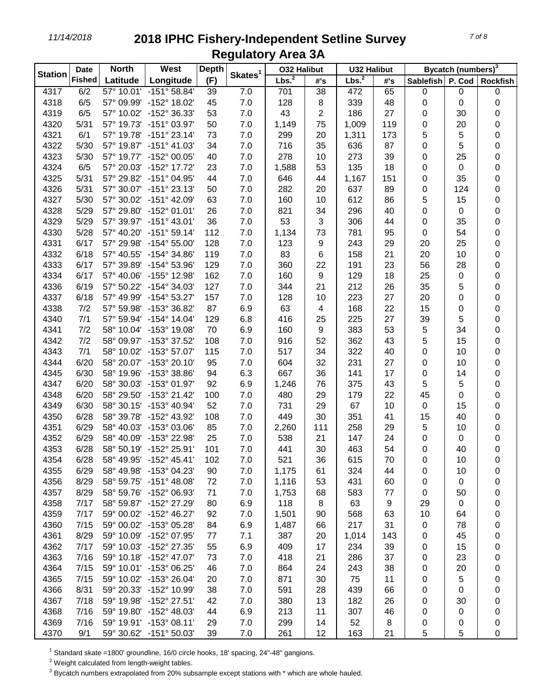| <b>Station</b> | <b>Date</b>   | <b>North</b> | West                    | <b>Depth</b> |                     | <b>032 Halibut</b> |                | <b>U32 Halibut</b> |     | Bycatch (numbers) <sup>3</sup> |        |                 |  |
|----------------|---------------|--------------|-------------------------|--------------|---------------------|--------------------|----------------|--------------------|-----|--------------------------------|--------|-----------------|--|
|                | <b>Fished</b> | Latitude     | Longitude               | (F)          | Skates <sup>1</sup> | Lbs. <sup>2</sup>  | #'s            | Lbs. <sup>2</sup>  | #'s | Sablefish                      | P. Cod | <b>Rockfish</b> |  |
| 4317           | 6/2           |              | 57° 10.01' -151° 58.84' | 39           | 7.0                 | 701                | 38             | 472                | 65  | 0                              | 0      | 0               |  |
| 4318           | 6/5           |              | 57° 09.99' -152° 18.02' | 45           | 7.0                 | 128                | 8              | 339                | 48  | 0                              | 0      | 0               |  |
| 4319           | 6/5           |              | 57° 10.02' -152° 36.33' | 53           | 7.0                 | 43                 | 2              | 186                | 27  | 0                              | 30     | 0               |  |
| 4320           | 5/31          |              | 57° 19.73' -151° 03.97' | 50           | 7.0                 | 1,149              | 75             | 1,009              | 119 | 0                              | 20     | 0               |  |
| 4321           | 6/1           | 57° 19.78'   | $-151^{\circ} 23.14'$   | 73           | 7.0                 | 299                | 20             | 1,311              | 173 | 5                              | 5      | 0               |  |
| 4322           | 5/30          |              | 57° 19.87' -151° 41.03' | 34           | 7.0                 | 716                | 35             | 636                | 87  | 0                              | 5      | 0               |  |
| 4323           | 5/30          |              | 57° 19.77' -152° 00.05' | 40           | 7.0                 | 278                | 10             | 273                | 39  | 0                              | 25     | 0               |  |
| 4324           | 6/5           | 57° 20.03'   | -152° 17.72'            | 23           | 7.0                 | 1,588              | 53             | 135                | 18  | 0                              | 0      | 0               |  |
| 4325           | 5/31          |              | 57° 29.82' -151° 04.95' | 44           | 7.0                 | 646                | 44             | 1,167              | 151 | 0                              | 35     | 0               |  |
| 4326           | 5/31          |              | 57° 30.07' -151° 23.13' | 50           | 7.0                 | 282                | 20             | 637                | 89  | 0                              | 124    | 0               |  |
| 4327           | 5/30          |              | 57° 30.02' -151° 42.09' | 63           | 7.0                 | 160                | 10             | 612                | 86  | 5                              | 15     | 0               |  |
| 4328           | 5/29          |              | 57° 29.80' -152° 01.01' | 26           | 7.0                 | 821                | 34             | 296                | 40  | 0                              | 0      | 0               |  |
| 4329           | 5/29          |              | 57° 39.97' -151° 43.01' | 36           | 7.0                 | 53                 | 3              | 306                | 44  | 0                              | 35     | 0               |  |
| 4330           | 5/28          |              | 57° 40.20' -151° 59.14' | 112          | 7.0                 | 1,134              | 73             | 781                | 95  | 0                              | 54     | 0               |  |
| 4331           | 6/17          |              | 57° 29.98' -154° 55.00' | 128          | 7.0                 | 123                | 9              | 243                | 29  | 20                             | 25     | 0               |  |
| 4332           | 6/18          |              | 57° 40.55' -154° 34.86' | 119          | 7.0                 | 83                 | 6              | 158                | 21  | 20                             | 10     | 0               |  |
| 4333           | 6/17          |              | 57° 39.89' -154° 53.96' | 129          | 7.0                 | 360                | 22             | 191                | 23  | 56                             | 28     | 0               |  |
| 4334           | 6/17          | 57° 40.06'   | -155° 12.98'            | 162          | 7.0                 | 160                | 9              | 129                | 18  | 25                             | 0      | 0               |  |
| 4336           | 6/19          |              | 57° 50.22' -154° 34.03' | 127          | 7.0                 | 344                | 21             | 212                | 26  | 35                             | 5      | 0               |  |
| 4337           | 6/18          | 57° 49.99'   | $-154^{\circ}53.27'$    | 157          | 7.0                 | 128                | 10             | 223                | 27  | 20                             | 0      | 0               |  |
| 4338           | 7/2           | 57° 59.98'   | -153° 36.82'            | 87           | 6.9                 | 63                 | $\overline{4}$ | 168                | 22  | 15                             | 0      | 0               |  |
| 4340           | 7/1           |              | 57° 59.94' -154° 14.04' | 129          | 6.8                 | 416                | 25             | 225                | 27  | 39                             | 5      | 0               |  |
| 4341           | 7/2           |              | 58° 10.04' -153° 19.08' | 70           | 6.9                 | 160                | 9              | 383                | 53  | 5                              | 34     | 0               |  |
| 4342           | 7/2           |              | 58° 09.97' -153° 37.52' | 108          | 7.0                 | 916                | 52             | 362                | 43  | 5                              | 15     | 0               |  |
| 4343           | 7/1           |              | 58° 10.02' -153° 57.07' | 115          | 7.0                 | 517                | 34             | 322                | 40  | 0                              | 10     | 0               |  |
| 4344           | 6/20          |              | 58° 20.07' -153° 20.10' | 95           | 7.0                 | 604                | 32             | 231                | 27  | 0                              | 10     | 0               |  |
| 4345           | 6/30          |              | 58° 19.96' -153° 38.86' | 94           | 6.3                 | 667                | 36             | 141                | 17  | 0                              | 14     | 0               |  |
| 4347           | 6/20          |              | 58° 30.03' -153° 01.97' | 92           | 6.9                 | 1,246              | 76             | 375                | 43  | 5                              | 5      | 0               |  |
| 4348           | 6/20          |              | 58° 29.50' -153° 21.42' | 100          | 7.0                 | 480                | 29             | 179                | 22  | 45                             | 0      | 0               |  |
| 4349           | 6/30          |              | 58° 30.15' -153° 40.94' | 52           | 7.0                 | 731                | 29             | 67                 | 10  | 0                              | 15     | 0               |  |
| 4350           | 6/28          |              | 58° 39.78' -152° 43.92' | 108          | 7.0                 | 449                | 30             | 351                | 41  | 15                             | 40     | 0               |  |
| 4351           | 6/29          |              | 58° 40.03' -153° 03.06' | 85           | 7.0                 | 2,260              | 111            | 258                | 29  | 5                              | 10     | 0               |  |
| 4352           | 6/29          |              | 58° 40.09' -153° 22.98' | 25           | 7.0                 | 538                | 21             | 147                | 24  | 0                              | 0      | 0               |  |
| 4353           | 6/28          |              | 58° 50.19' -152° 25.91' | 101          | 7.0                 | 441                | 30             | 463                | 54  | 0                              | 40     | 0               |  |
| 4354           | 6/28          |              | 58° 49.95' -152° 45.41' | 102          | 7.0                 | 521                | 36             | 615                | 70  | 0                              | 10     | 0               |  |
| 4355           | 6/29          |              | 58° 49.98' -153° 04.23' | 90           | 7.0                 | 1,175              | 61             | 324                | 44  | 0                              | 10     | 0               |  |
| 4356           | 8/29          |              | 58° 59.75' -151° 48.08' | 72           | 7.0                 | 1,116              | 53             | 431                | 60  | 0                              | 0      | 0               |  |
| 4357           | 8/29          |              | 58° 59.76' -152° 06.93' | 71           | 7.0                 | 1,753              | 68             | 583                | 77  | 0                              | 50     | 0               |  |
| 4358           | 7/17          |              | 58° 59.87' -152° 27.29' | 80           | 6.9                 | 118                | 8              | 63                 | 9   | 29                             | 0      | 0               |  |
| 4359           | 7/17          |              | 59° 00.02' -152° 46.27' | 92           | 7.0                 | 1,501              | 90             | 568                | 63  | 10                             | 64     | 0               |  |
| 4360           | 7/15          |              | 59° 00.02' -153° 05.28' | 84           | 6.9                 | 1,487              | 66             | 217                | 31  | 0                              | 78     | 0               |  |
| 4361           | 8/29          |              | 59° 10.09' -152° 07.95' | 77           | 7.1                 | 387                | 20             | 1,014              | 143 | 0                              | 45     | 0               |  |
| 4362           | 7/17          |              | 59° 10.03' -152° 27.35' | 55           | 6.9                 | 409                | 17             | 234                | 39  | 0                              | 15     | 0               |  |
| 4363           | 7/16          |              | 59° 10.18' -152° 47.07' | 73           | 7.0                 | 418                | 21             | 286                | 37  | 0                              | 23     | 0               |  |
| 4364           | 7/15          |              | 59° 10.01' -153° 06.25' | 46           | 7.0                 | 864                | 24             | 243                | 38  | 0                              | 20     | 0               |  |
| 4365           | 7/15          |              | 59° 10.02' -153° 26.04' | 20           | 7.0                 | 871                | 30             | 75                 | 11  | 0                              | 5      | 0               |  |
| 4366           | 8/31          |              | 59° 20.33' -152° 10.99' | 38           | 7.0                 | 591                | 28             | 439                | 66  | 0                              | 0      | 0               |  |
| 4367           | 7/18          |              | 59° 19.98' -152° 27.51' | 42           | 7.0                 | 380                | 13             | 182                | 26  | 0                              | 30     | 0               |  |
| 4368           | 7/16          |              | 59° 19.80' -152° 48.03' | 44           | 6.9                 | 213                | 11             | 307                | 46  | 0                              | 0      | 0               |  |
| 4369           | 7/16          |              | 59° 19.91' -153° 08.11' | 29           | 7.0                 | 299                | 14             | 52                 | 8   | 0                              | 0      | 0               |  |
| 4370           | 9/1           |              | 59° 30.62' -151° 50.03' | 39           | 7.0                 | 261                | 12             | 163                | 21  | 5                              | 5      | 0               |  |

Standard skate =1800' groundline, 16/0 circle hooks, 18' spacing, 24"-48" gangions.

Weight calculated from length-weight tables.